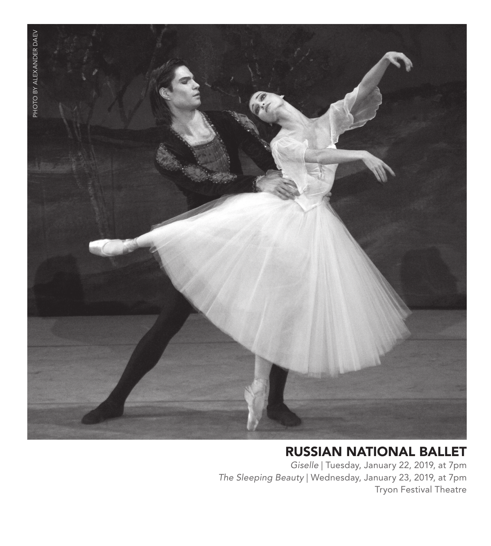

### RUSSIAN NATIONAL BALLET

*Giselle* | Tuesday, January 22, 2019, at 7pm *The Sleeping Beauty* | Wednesday, January 23, 2019, at 7pm Tryon Festival Theatre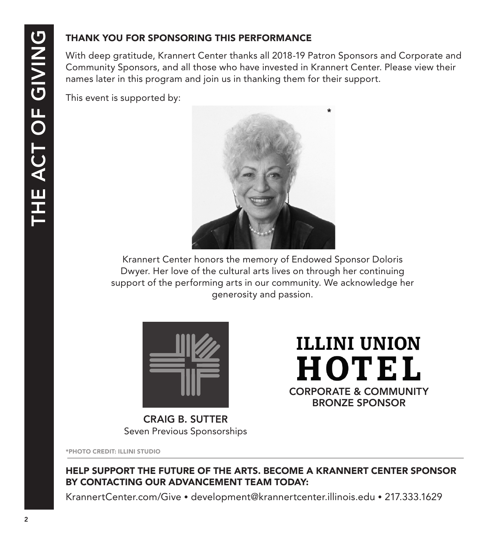### THANK YOU FOR SPONSORING THIS PERFORMANCE

With deep gratitude, Krannert Center thanks all 2018-19 Patron Sponsors and Corporate and Community Sponsors, and all those who have invested in Krannert Center. Please view their names later in this program and join us in thanking them for their support.

This event is supported by:



Krannert Center honors the memory of Endowed Sponsor Doloris Dwyer. Her love of the cultural arts lives on through her continuing support of the performing arts in our community. We acknowledge her generosity and passion.



CRAIG B. SUTTER Seven Previous Sponsorships

**ILLINI UNION** HOTEL CORPORATE & COMMUNITY BRONZE SPONSOR

\*PHOTO CREDIT: ILLINI STUDIO

### HELP SUPPORT THE FUTURE OF THE ARTS. BECOME A KRANNERT CENTER SPONSOR BY CONTACTING OUR ADVANCEMENT TEAM TODAY:

KrannertCenter.com/Give • development@krannertcenter.illinois.edu • 217.333.1629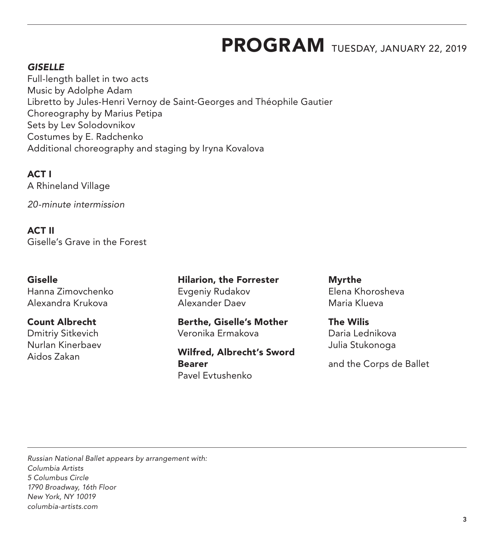## PROGRAM TUESDAY, JANUARY 22, 2019

### *GISELLE*

Full-length ballet in two acts Music by Adolphe Adam Libretto by Jules-Henri Vernoy de Saint-Georges and Théophile Gautier Choreography by Marius Petipa Sets by Lev Solodovnikov Costumes by E. Radchenko Additional choreography and staging by Iryna Kovalova

### ACT I

A Rhineland Village

*20-minute intermission* 

ACT II Giselle's Grave in the Forest

#### Giselle

Hanna Zimovchenko Alexandra Krukova

### Count Albrecht

Dmitriy Sitkevich Nurlan Kinerbaev Aidos Zakan

Hilarion, the Forrester Evgeniy Rudakov Alexander Daev

Berthe, Giselle's Mother Veronika Ermakova

Wilfred, Albrecht's Sword Bearer Pavel Evtushenko

Myrthe Elena Khorosheva Maria Klueva

The Wilis Daria Lednikova Julia Stukonoga

and the Corps de Ballet

*Russian National Ballet appears by arrangement with: Columbia Artists 5 Columbus Circle 1790 Broadway, 16th Floor New York, NY 10019 columbia-artists.com*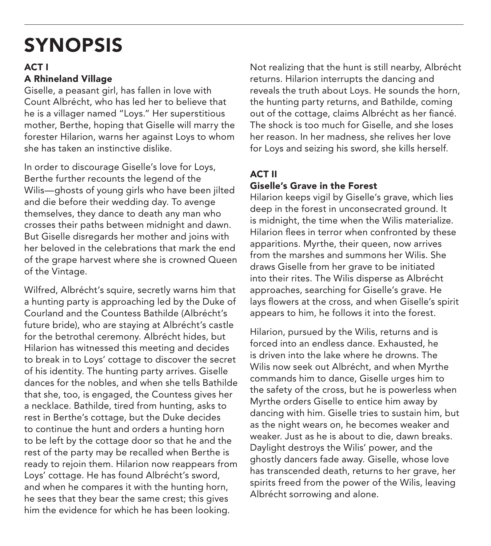# SYNOPSIS

### ACT I A Rhineland Village

Giselle, a peasant girl, has fallen in love with Count Albrécht, who has led her to believe that he is a villager named "Loys." Her superstitious mother, Berthe, hoping that Giselle will marry the forester Hilarion, warns her against Loys to whom she has taken an instinctive dislike.

In order to discourage Giselle's love for Loys, Berthe further recounts the legend of the Wilis—ghosts of young girls who have been jilted and die before their wedding day. To avenge themselves, they dance to death any man who crosses their paths between midnight and dawn. But Giselle disregards her mother and joins with her beloved in the celebrations that mark the end of the grape harvest where she is crowned Queen of the Vintage.

Wilfred, Albrécht's squire, secretly warns him that a hunting party is approaching led by the Duke of Courland and the Countess Bathilde (Albrécht's future bride), who are staying at Albrécht's castle for the betrothal ceremony. Albrécht hides, but Hilarion has witnessed this meeting and decides to break in to Loys' cottage to discover the secret of his identity. The hunting party arrives. Giselle dances for the nobles, and when she tells Bathilde that she, too, is engaged, the Countess gives her a necklace. Bathilde, tired from hunting, asks to rest in Berthe's cottage, but the Duke decides to continue the hunt and orders a hunting horn to be left by the cottage door so that he and the rest of the party may be recalled when Berthe is ready to rejoin them. Hilarion now reappears from Loys' cottage. He has found Albrécht's sword, and when he compares it with the hunting horn, he sees that they bear the same crest; this gives him the evidence for which he has been looking.

Not realizing that the hunt is still nearby, Albrécht returns. Hilarion interrupts the dancing and reveals the truth about Loys. He sounds the horn, the hunting party returns, and Bathilde, coming out of the cottage, claims Albrécht as her fiancé. The shock is too much for Giselle, and she loses her reason. In her madness, she relives her love for Loys and seizing his sword, she kills herself.

### ACT II

### Giselle's Grave in the Forest

Hilarion keeps vigil by Giselle's grave, which lies deep in the forest in unconsecrated ground. It is midnight, the time when the Wilis materialize. Hilarion flees in terror when confronted by these apparitions. Myrthe, their queen, now arrives from the marshes and summons her Wilis. She draws Giselle from her grave to be initiated into their rites. The Wilis disperse as Albrécht approaches, searching for Giselle's grave. He lays flowers at the cross, and when Giselle's spirit appears to him, he follows it into the forest.

Hilarion, pursued by the Wilis, returns and is forced into an endless dance. Exhausted, he is driven into the lake where he drowns. The Wilis now seek out Albrécht, and when Myrthe commands him to dance, Giselle urges him to the safety of the cross, but he is powerless when Myrthe orders Giselle to entice him away by dancing with him. Giselle tries to sustain him, but as the night wears on, he becomes weaker and weaker. Just as he is about to die, dawn breaks. Daylight destroys the Wilis' power, and the ghostly dancers fade away. Giselle, whose love has transcended death, returns to her grave, her spirits freed from the power of the Wilis, leaving Albrécht sorrowing and alone.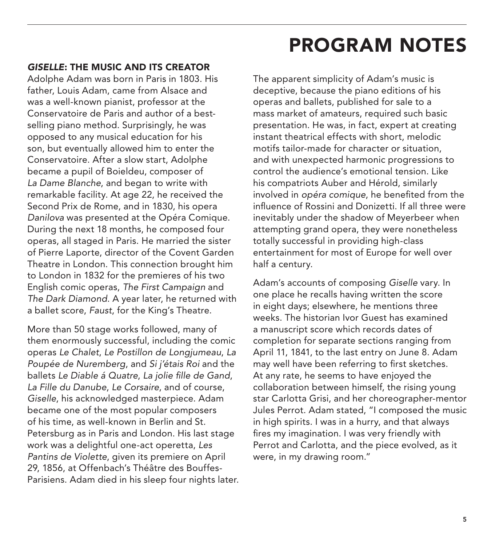## PROGRAM NOTES

### *GISELLE*: THE MUSIC AND ITS CREATOR

Adolphe Adam was born in Paris in 1803. His father, Louis Adam, came from Alsace and was a well-known pianist, professor at the Conservatoire de Paris and author of a bestselling piano method. Surprisingly, he was opposed to any musical education for his son, but eventually allowed him to enter the Conservatoire. After a slow start, Adolphe became a pupil of Boieldeu, composer of *La Dame Blanche*, and began to write with remarkable facility. At age 22, he received the Second Prix de Rome, and in 1830, his opera *Danilova* was presented at the Opéra Comique. During the next 18 months, he composed four operas, all staged in Paris. He married the sister of Pierre Laporte, director of the Covent Garden Theatre in London. This connection brought him to London in 1832 for the premieres of his two English comic operas, *The First Campaign* and *The Dark Diamond*. A year later, he returned with a ballet score, *Faust*, for the King's Theatre.

More than 50 stage works followed, many of them enormously successful, including the comic operas *Le Chalet*, *Le Postillon de Longjumeau*, *La Poupée de Nuremberg*, and *Si j'étais Roi* and the ballets *Le Diable á Quatre*, *La jolie fille de Gand*, *La Fille du Danube*, *Le Corsaire*, and of course, *Giselle*, his acknowledged masterpiece. Adam became one of the most popular composers of his time, as well-known in Berlin and St. Petersburg as in Paris and London. His last stage work was a delightful one-act operetta, *Les Pantins de Violette*, given its premiere on April 29, 1856, at Offenbach's Théâtre des Bouffes-Parisiens. Adam died in his sleep four nights later. The apparent simplicity of Adam's music is deceptive, because the piano editions of his operas and ballets, published for sale to a mass market of amateurs, required such basic presentation. He was, in fact, expert at creating instant theatrical effects with short, melodic motifs tailor-made for character or situation, and with unexpected harmonic progressions to control the audience's emotional tension. Like his compatriots Auber and Hérold, similarly involved in *opéra comique*, he benefited from the influence of Rossini and Donizetti. If all three were inevitably under the shadow of Meyerbeer when attempting grand opera, they were nonetheless totally successful in providing high-class entertainment for most of Europe for well over half a century.

Adam's accounts of composing *Giselle* vary. In one place he recalls having written the score in eight days; elsewhere, he mentions three weeks. The historian Ivor Guest has examined a manuscript score which records dates of completion for separate sections ranging from April 11, 1841, to the last entry on June 8. Adam may well have been referring to first sketches. At any rate, he seems to have enjoyed the collaboration between himself, the rising young star Carlotta Grisi, and her choreographer-mentor Jules Perrot. Adam stated, "I composed the music in high spirits. I was in a hurry, and that always fires my imagination. I was very friendly with Perrot and Carlotta, and the piece evolved, as it were, in my drawing room."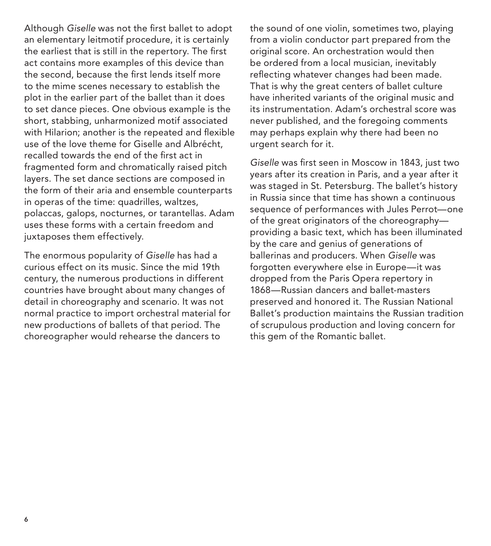Although *Giselle* was not the first ballet to adopt an elementary leitmotif procedure, it is certainly the earliest that is still in the repertory. The first act contains more examples of this device than the second, because the first lends itself more to the mime scenes necessary to establish the plot in the earlier part of the ballet than it does to set dance pieces. One obvious example is the short, stabbing, unharmonized motif associated with Hilarion; another is the repeated and flexible use of the love theme for Giselle and Albrécht, recalled towards the end of the first act in fragmented form and chromatically raised pitch layers. The set dance sections are composed in the form of their aria and ensemble counterparts in operas of the time: quadrilles, waltzes, polaccas, galops, nocturnes, or tarantellas. Adam uses these forms with a certain freedom and juxtaposes them effectively.

The enormous popularity of *Giselle* has had a curious effect on its music. Since the mid 19th century, the numerous productions in different countries have brought about many changes of detail in choreography and scenario. It was not normal practice to import orchestral material for new productions of ballets of that period. The choreographer would rehearse the dancers to

the sound of one violin, sometimes two, playing from a violin conductor part prepared from the original score. An orchestration would then be ordered from a local musician, inevitably reflecting whatever changes had been made. That is why the great centers of ballet culture have inherited variants of the original music and its instrumentation. Adam's orchestral score was never published, and the foregoing comments may perhaps explain why there had been no urgent search for it.

*Giselle* was first seen in Moscow in 1843, just two years after its creation in Paris, and a year after it was staged in St. Petersburg. The ballet's history in Russia since that time has shown a continuous sequence of performances with Jules Perrot—one of the great originators of the choreography providing a basic text, which has been illuminated by the care and genius of generations of ballerinas and producers. When *Giselle* was forgotten everywhere else in Europe—it was dropped from the Paris Opera repertory in 1868—Russian dancers and ballet-masters preserved and honored it. The Russian National Ballet's production maintains the Russian tradition of scrupulous production and loving concern for this gem of the Romantic ballet.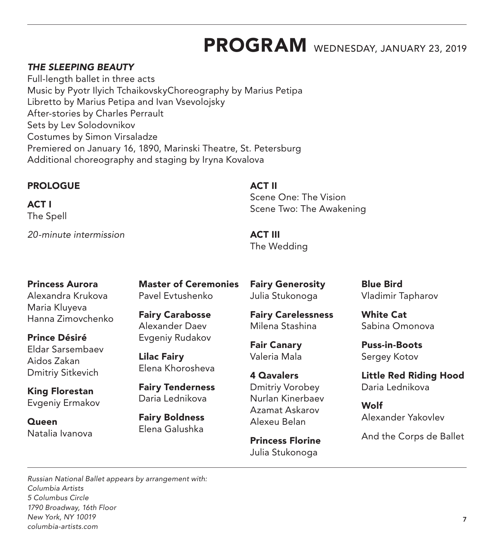## PROGRAM WEDNESDAY, JANUARY 23, 2019

### *THE SLEEPING BEAUTY*

Full-length ballet in three acts Music by Pyotr Ilyich TchaikovskyChoreography by Marius Petipa Libretto by Marius Petipa and Ivan Vsevolojsky After-stories by Charles Perrault Sets by Lev Solodovnikov Costumes by Simon Virsaladze Premiered on January 16, 1890, Marinski Theatre, St. Petersburg Additional choreography and staging by Iryna Kovalova

### PROLOGUE

ACT I The Spell

*20-minute intermission*

Master of Ceremonies

Alexandra Krukova Maria Kluyeva Hanna Zimovchenko

Princess Aurora

Prince Désiré Eldar Sarsembaev Aidos Zakan Dmitriy Sitkevich

King Florestan Evgeniy Ermakov

**Ougan** Natalia Ivanova Pavel Evtushenko Fairy Carabosse

Alexander Daev Evgeniy Rudakov

Lilac Fairy Elena Khorosheva

Fairy Tenderness Daria Lednikova

Fairy Boldness Elena Galushka

Fairy Generosity Julia Stukonoga

Scene One: The Vision Scene Two: The Awakening

Fairy Carelessness Milena Stashina

Fair Canary Valeria Mala

ACT II

ACT III The Wedding

4 Qavalers Dmitriy Vorobey Nurlan Kinerbaev Azamat Askarov Alexeu Belan

Princess Florine Julia Stukonoga

Blue Bird Vladimir Tapharov

White Cat Sabina Omonova

Puss-in-Boots Sergey Kotov

Little Red Riding Hood Daria Lednikova

Wolf Alexander Yakovlev

And the Corps de Ballet

*Russian National Ballet appears by arrangement with: Columbia Artists 5 Columbus Circle 1790 Broadway, 16th Floor New York, NY 10019 columbia-artists.com*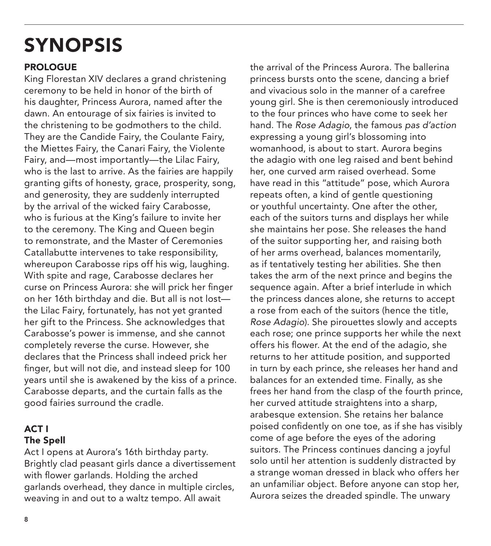# SYNOPSIS

### PROLOGUE

King Florestan XIV declares a grand christening ceremony to be held in honor of the birth of his daughter, Princess Aurora, named after the dawn. An entourage of six fairies is invited to the christening to be godmothers to the child. They are the Candide Fairy, the Coulante Fairy, the Miettes Fairy, the Canari Fairy, the Violente Fairy, and—most importantly—the Lilac Fairy, who is the last to arrive. As the fairies are happily granting gifts of honesty, grace, prosperity, song, and generosity, they are suddenly interrupted by the arrival of the wicked fairy Carabosse, who is furious at the King's failure to invite her to the ceremony. The King and Queen begin to remonstrate, and the Master of Ceremonies Catallabutte intervenes to take responsibility, whereupon Carabosse rips off his wig, laughing. With spite and rage, Carabosse declares her curse on Princess Aurora: she will prick her finger on her 16th birthday and die. But all is not lost the Lilac Fairy, fortunately, has not yet granted her gift to the Princess. She acknowledges that Carabosse's power is immense, and she cannot completely reverse the curse. However, she declares that the Princess shall indeed prick her finger, but will not die, and instead sleep for 100 years until she is awakened by the kiss of a prince. Carabosse departs, and the curtain falls as the good fairies surround the cradle.

### ACT I The Spell

Act I opens at Aurora's 16th birthday party. Brightly clad peasant girls dance a divertissement with flower garlands. Holding the arched garlands overhead, they dance in multiple circles, weaving in and out to a waltz tempo. All await

the arrival of the Princess Aurora. The ballerina princess bursts onto the scene, dancing a brief and vivacious solo in the manner of a carefree young girl. She is then ceremoniously introduced to the four princes who have come to seek her hand. The *Rose Adagio*, the famous *pas d'action* expressing a young girl's blossoming into womanhood, is about to start. Aurora begins the adagio with one leg raised and bent behind her, one curved arm raised overhead. Some have read in this "attitude" pose, which Aurora repeats often, a kind of gentle questioning or youthful uncertainty. One after the other, each of the suitors turns and displays her while she maintains her pose. She releases the hand of the suitor supporting her, and raising both of her arms overhead, balances momentarily, as if tentatively testing her abilities. She then takes the arm of the next prince and begins the sequence again. After a brief interlude in which the princess dances alone, she returns to accept a rose from each of the suitors (hence the title, *Rose Adagio*). She pirouettes slowly and accepts each rose; one prince supports her while the next offers his flower. At the end of the adagio, she returns to her attitude position, and supported in turn by each prince, she releases her hand and balances for an extended time. Finally, as she frees her hand from the clasp of the fourth prince, her curved attitude straightens into a sharp, arabesque extension. She retains her balance poised confidently on one toe, as if she has visibly come of age before the eyes of the adoring suitors. The Princess continues dancing a joyful solo until her attention is suddenly distracted by a strange woman dressed in black who offers her an unfamiliar object. Before anyone can stop her, Aurora seizes the dreaded spindle. The unwary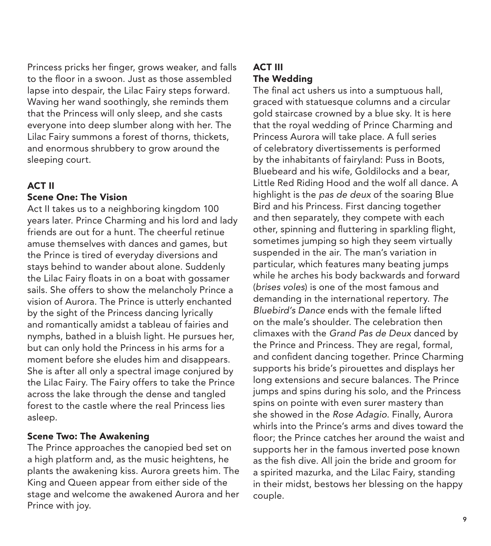Princess pricks her finger, grows weaker, and falls to the floor in a swoon. Just as those assembled lapse into despair, the Lilac Fairy steps forward. Waving her wand soothingly, she reminds them that the Princess will only sleep, and she casts everyone into deep slumber along with her. The Lilac Fairy summons a forest of thorns, thickets, and enormous shrubbery to grow around the sleeping court.

### ACT II

### Scene One: The Vision

Act II takes us to a neighboring kingdom 100 years later. Prince Charming and his lord and lady friends are out for a hunt. The cheerful retinue amuse themselves with dances and games, but the Prince is tired of everyday diversions and stays behind to wander about alone. Suddenly the Lilac Fairy floats in on a boat with gossamer sails. She offers to show the melancholy Prince a vision of Aurora. The Prince is utterly enchanted by the sight of the Princess dancing lyrically and romantically amidst a tableau of fairies and nymphs, bathed in a bluish light. He pursues her, but can only hold the Princess in his arms for a moment before she eludes him and disappears. She is after all only a spectral image conjured by the Lilac Fairy. The Fairy offers to take the Prince across the lake through the dense and tangled forest to the castle where the real Princess lies asleep.

### Scene Two: The Awakening

The Prince approaches the canopied bed set on a high platform and, as the music heightens, he plants the awakening kiss. Aurora greets him. The King and Queen appear from either side of the stage and welcome the awakened Aurora and her Prince with joy.

### ACT III The Wedding

The final act ushers us into a sumptuous hall, graced with statuesque columns and a circular gold staircase crowned by a blue sky. It is here that the royal wedding of Prince Charming and Princess Aurora will take place. A full series of celebratory divertissements is performed by the inhabitants of fairyland: Puss in Boots, Bluebeard and his wife, Goldilocks and a bear, Little Red Riding Hood and the wolf all dance. A highlight is the *pas de deux* of the soaring Blue Bird and his Princess. First dancing together and then separately, they compete with each other, spinning and fluttering in sparkling flight, sometimes jumping so high they seem virtually suspended in the air. The man's variation in particular, which features many beating jumps while he arches his body backwards and forward (*brises voles*) is one of the most famous and demanding in the international repertory. *The Bluebird's Dance* ends with the female lifted on the male's shoulder. The celebration then climaxes with the *Grand Pas de Deux* danced by the Prince and Princess. They are regal, formal, and confident dancing together. Prince Charming supports his bride's pirouettes and displays her long extensions and secure balances. The Prince jumps and spins during his solo, and the Princess spins on pointe with even surer mastery than she showed in the *Rose Adagio*. Finally, Aurora whirls into the Prince's arms and dives toward the floor; the Prince catches her around the waist and supports her in the famous inverted pose known as the fish dive. All join the bride and groom for a spirited mazurka, and the Lilac Fairy, standing in their midst, bestows her blessing on the happy couple.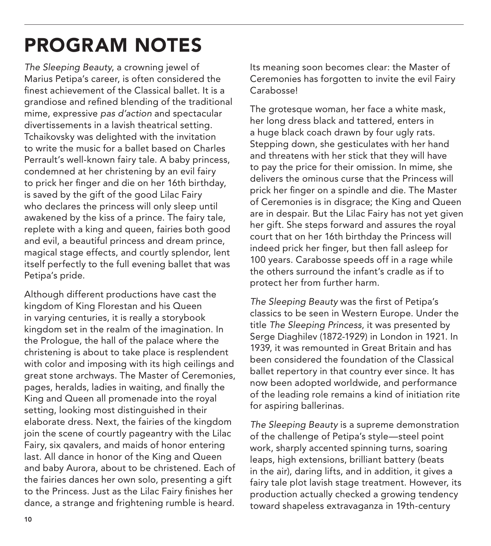## PROGRAM NOTES

*The Sleeping Beauty*, a crowning jewel of Marius Petipa's career, is often considered the finest achievement of the Classical ballet. It is a grandiose and refined blending of the traditional mime, expressive *pas d'action* and spectacular divertissements in a lavish theatrical setting. Tchaikovsky was delighted with the invitation to write the music for a ballet based on Charles Perrault's well-known fairy tale. A baby princess, condemned at her christening by an evil fairy to prick her finger and die on her 16th birthday, is saved by the gift of the good Lilac Fairy who declares the princess will only sleep until awakened by the kiss of a prince. The fairy tale, replete with a king and queen, fairies both good and evil, a beautiful princess and dream prince, magical stage effects, and courtly splendor, lent itself perfectly to the full evening ballet that was Petipa's pride.

Although different productions have cast the kingdom of King Florestan and his Queen in varying centuries, it is really a storybook kingdom set in the realm of the imagination. In the Prologue, the hall of the palace where the christening is about to take place is resplendent with color and imposing with its high ceilings and great stone archways. The Master of Ceremonies, pages, heralds, ladies in waiting, and finally the King and Queen all promenade into the royal setting, looking most distinguished in their elaborate dress. Next, the fairies of the kingdom join the scene of courtly pageantry with the Lilac Fairy, six qavalers, and maids of honor entering last. All dance in honor of the King and Queen and baby Aurora, about to be christened. Each of the fairies dances her own solo, presenting a gift to the Princess. Just as the Lilac Fairy finishes her dance, a strange and frightening rumble is heard. Its meaning soon becomes clear: the Master of Ceremonies has forgotten to invite the evil Fairy Carabosse!

The grotesque woman, her face a white mask, her long dress black and tattered, enters in a huge black coach drawn by four ugly rats. Stepping down, she gesticulates with her hand and threatens with her stick that they will have to pay the price for their omission. In mime, she delivers the ominous curse that the Princess will prick her finger on a spindle and die. The Master of Ceremonies is in disgrace; the King and Queen are in despair. But the Lilac Fairy has not yet given her gift. She steps forward and assures the royal court that on her 16th birthday the Princess will indeed prick her finger, but then fall asleep for 100 years. Carabosse speeds off in a rage while the others surround the infant's cradle as if to protect her from further harm.

*The Sleeping Beauty* was the first of Petipa's classics to be seen in Western Europe. Under the title *The Sleeping Princess*, it was presented by Serge Diaghilev (1872-1929) in London in 1921. In 1939, it was remounted in Great Britain and has been considered the foundation of the Classical ballet repertory in that country ever since. It has now been adopted worldwide, and performance of the leading role remains a kind of initiation rite for aspiring ballerinas.

*The Sleeping Beauty* is a supreme demonstration of the challenge of Petipa's style—steel point work, sharply accented spinning turns, soaring leaps, high extensions, brilliant battery (beats in the air), daring lifts, and in addition, it gives a fairy tale plot lavish stage treatment. However, its production actually checked a growing tendency toward shapeless extravaganza in 19th-century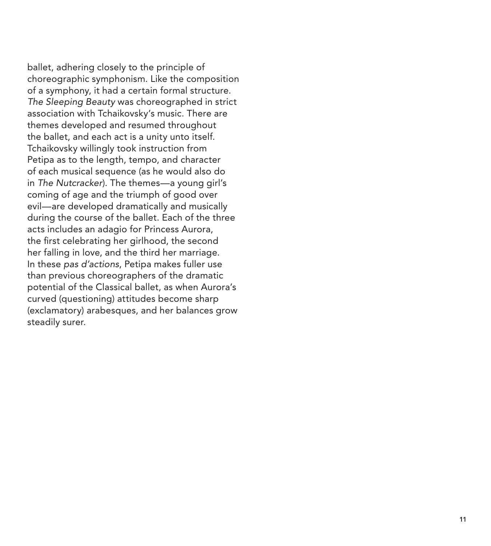ballet, adhering closely to the principle of choreographic symphonism. Like the composition of a symphony, it had a certain formal structure. *The Sleeping Beauty* was choreographed in strict association with Tchaikovsky's music. There are themes developed and resumed throughout the ballet, and each act is a unity unto itself. Tchaikovsky willingly took instruction from Petipa as to the length, tempo, and character of each musical sequence (as he would also do in *The Nutcracker*). The themes—a young girl's coming of age and the triumph of good over evil—are developed dramatically and musically during the course of the ballet. Each of the three acts includes an adagio for Princess Aurora, the first celebrating her girlhood, the second her falling in love, and the third her marriage. In these *pas d'actions*, Petipa makes fuller use than previous choreographers of the dramatic potential of the Classical ballet, as when Aurora's curved (questioning) attitudes become sharp (exclamatory) arabesques, and her balances grow steadily surer.